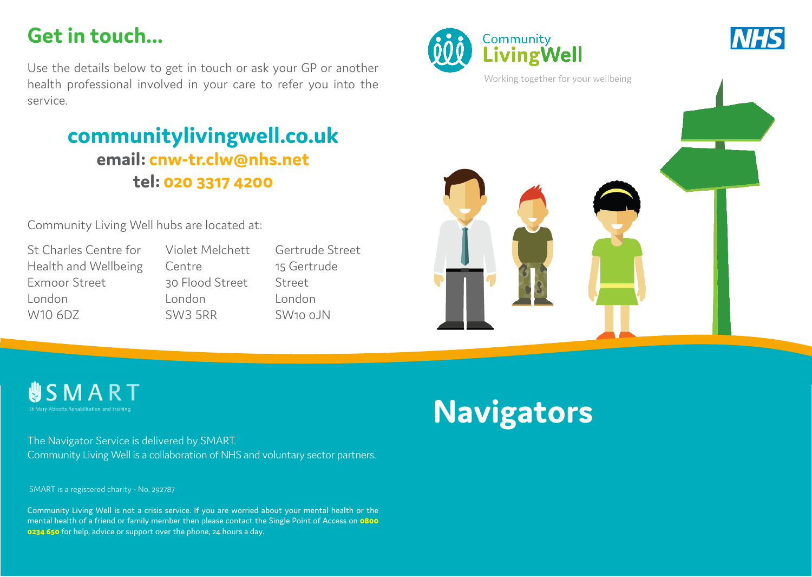## **Get in touch...**

Use the details below to get in touch or ask your GP or another health professional involved in your care to refer you into the service.

### **communitylivingwell.co.uk email: cnw-tr.clw@nhs.net tel: 020 3317 4200**

Community Living Well hubs are located at:

St Charles Centre for Health and Wellbeing Exmoor Street London W10 6DZ

Violet Melchett Centre 30 Flood Street London SW3 5RR

Gertrude Street 15 Gertrude Street London  $SW100$   $N$ 





**USMART** 

The Navigator Service is delivered by SMART. Community Living Well is a collaboration of NHS and voluntary sector partners.

SMART is a registered charity - No. 292787

Community Living Well is not a crisis service. If you are worried about your mental health or the mental health of a friend or family member then please contact the Single Point of Access on **0800 0234 650** for help, advice or support over the phone, 24 hours a day.

# **Navigators**